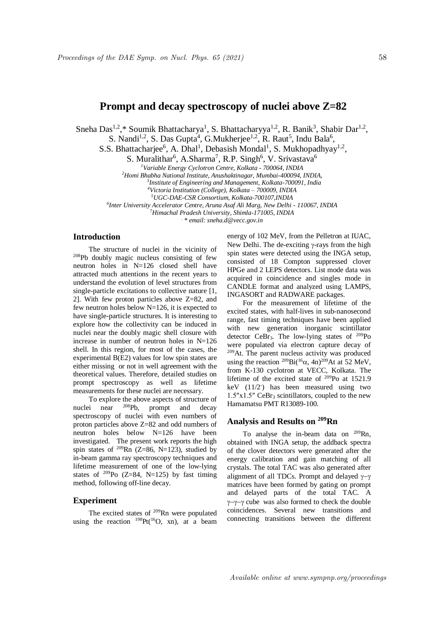Sneha Das<sup>1,2</sup>,\* Soumik Bhattacharya<sup>1</sup>, S. Bhattacharyya<sup>1,2</sup>, R. Banik<sup>3</sup>, Shabir Dar<sup>1,2</sup>,

S. Nandi<sup>1,2</sup>, S. Das Gupta<sup>4</sup>, G. Mukherjee<sup>1,2</sup>, R. Raut<sup>5</sup>, Indu Bala<sup>6</sup>,

S.S. Bhattacharjee<sup>6</sup>, A. Dhal<sup>1</sup>, Debasish Mondal<sup>1</sup>, S. Mukhopadhyay<sup>1,2</sup>,

S. Muralithar<sup>6</sup>, A.Sharma<sup>7</sup>, R.P. Singh<sup>6</sup>, V. Srivastava<sup>6</sup>

*<sup>1</sup>Variable Energy Cyclotron Centre, Kolkata - 700064, INDIA*

*<sup>2</sup>Homi Bhabha National Institute, Anushaktinagar, Mumbai-400094, INDIA, 3*

*Institute of Engineering and Management, Kolkata-700091, India*

*<sup>4</sup>Victoria Institution (College), Kolkata – 700009, INDIA*

*<sup>5</sup>UGC-DAE-CSR Consortium, Kolkata-700107,INDIA*

*6 Inter University Accelerator Centre, Aruna Asaf Ali Marg, New Delhi - 110067, INDIA*

*<sup>7</sup>Himachal Pradesh University, Shimla-171005, INDIA .*

*\* email: sneha.d@vecc.gov.in*

### **Introduction**

The structure of nuclei in the vicinity of <sup>208</sup>Pb doubly magic nucleus consisting of few neutron holes in N=126 closed shell have attracted much attentions in the recent years to understand the evolution of level structures from single-particle excitations to collective nature [1, 2]. With few proton particles above Z=82, and few neutron holes below N=126, it is expected to have single-particle structures. It is interesting to explore how the collectivity can be induced in nuclei near the doubly magic shell closure with increase in number of neutron holes in  $N=126$ shell. In this region, for most of the cases, the experimental B(E2) values for low spin states are either missing or not in well agreement with the theoretical values. Therefore, detailed studies on prompt spectroscopy as well as lifetime measurements for these nuclei are necessary.

To explore the above aspects of structure of nuclei near <sup>208</sup>Pb, prompt and decay spectroscopy of nuclei with even numbers of proton particles above Z=82 and odd numbers of neutron holes below N=126 have been investigated. The present work reports the high spin states of  $^{209}$ Rn (Z=86, N=123), studied by in-beam gamma ray spectroscopy techniques and lifetime measurement of one of the low-lying states of  $^{209}$ Po (Z=84, N=125) by fast timing method, following off-line decay.

## **Experiment**

The excited states of  $209$ Rn were populated using the reaction  $^{198}Pt(^{16}O, xn)$ , at a beam energy of 102 MeV, from the Pelletron at IUAC, New Delhi. The de-exciting  $\gamma$ -rays from the high spin states were detected using the INGA setup, consisted of 18 Compton suppressed clover HPGe and 2 LEPS detectors. List mode data was acquired in coincidence and singles mode in CANDLE format and analyzed using LAMPS, INGASORT and RADWARE packages.

For the measurement of lifetime of the excited states, with half-lives in sub-nanosecond range, fast timing techniques have been applied with new generation inorganic scintillator detector CeBr<sub>3</sub>. The low-lying states of  $^{209}Po$ were populated via electron capture decay of <sup>209</sup>At. The parent nucleus activity was produced using the reaction  $^{209}$ Bi( $^{16}$  $\alpha$ , 4n) $^{209}$ At at 52 MeV, from K-130 cyclotron at VECC, Kolkata. The lifetime of the excited state of <sup>209</sup>Po at 1521.9 keV (11/2- ) has been measured using two 1.5″x1.5″ CeBr<sup>3</sup> scintillators, coupled to the new Hamamatsu PMT R13089-100.

# **Analysis and Results on <sup>209</sup>Rn**

To analyse the in-beam data on  $209$ Rn, obtained with INGA setup, the addback spectra of the clover detectors were generated after the energy calibration and gain matching of all crystals. The total TAC was also generated after alignment of all TDCs. Prompt and delayed  $\gamma-\gamma$ matrices have been formed by gating on prompt and delayed parts of the total TAC. A  $\gamma-\gamma-\gamma$  cube was also formed to check the double coincidences. Several new transitions and connecting transitions between the different